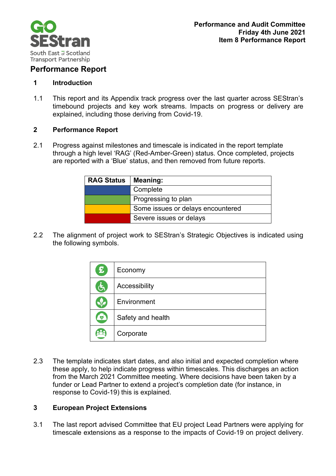

# **Performance Report**

## **1 Introduction**

1.1 This report and its Appendix track progress over the last quarter across SEStran's timebound projects and key work streams. Impacts on progress or delivery are explained, including those deriving from Covid-19.

## **2 Performance Report**

2.1 Progress against milestones and timescale is indicated in the report template through a high level 'RAG' (Red-Amber-Green) status. Once completed, projects are reported with a 'Blue' status, and then removed from future reports.

| <b>RAG Status</b> | Meaning:                          |
|-------------------|-----------------------------------|
|                   | Complete                          |
|                   | Progressing to plan               |
|                   | Some issues or delays encountered |
|                   | Severe issues or delays           |

2.2 The alignment of project work to SEStran's Strategic Objectives is indicated using the following symbols.

| $\mathbf{E}$         | Economy           |
|----------------------|-------------------|
| $\mathbf{F}$         | Accessibility     |
| $\sqrt{\phantom{a}}$ | Environment       |
| $\mathcal{L}$        | Safety and health |
|                      | Corporate         |

2.3 The template indicates start dates, and also initial and expected completion where these apply, to help indicate progress within timescales. This discharges an action from the March 2021 Committee meeting. Where decisions have been taken by a funder or Lead Partner to extend a project's completion date (for instance, in response to Covid-19) this is explained.

# **3 European Project Extensions**

3.1 The last report advised Committee that EU project Lead Partners were applying for timescale extensions as a response to the impacts of Covid-19 on project delivery.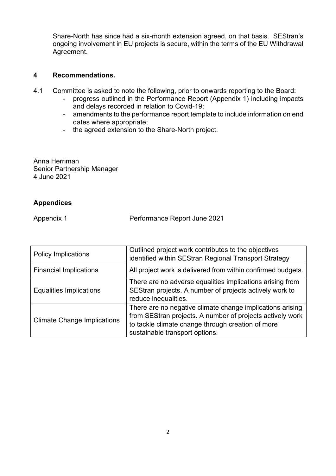Share-North has since had a six-month extension agreed, on that basis. SEStran's ongoing involvement in EU projects is secure, within the terms of the EU Withdrawal Agreement.

### **4 Recommendations.**

- 4.1 Committee is asked to note the following, prior to onwards reporting to the Board:
	- progress outlined in the Performance Report (Appendix 1) including impacts and delays recorded in relation to Covid-19;
	- amendments to the performance report template to include information on end dates where appropriate;
	- the agreed extension to the Share-North project.

Anna Herriman Senior Partnership Manager 4 June 2021

## **Appendices**

Appendix 1 **Performance Report June 2021** 

| <b>Policy Implications</b>         | Outlined project work contributes to the objectives<br>identified within SEStran Regional Transport Strategy                                                                                                  |
|------------------------------------|---------------------------------------------------------------------------------------------------------------------------------------------------------------------------------------------------------------|
| <b>Financial Implications</b>      | All project work is delivered from within confirmed budgets.                                                                                                                                                  |
| <b>Equalities Implications</b>     | There are no adverse equalities implications arising from<br>SEStran projects. A number of projects actively work to<br>reduce inequalities.                                                                  |
| <b>Climate Change Implications</b> | There are no negative climate change implications arising<br>from SEStran projects. A number of projects actively work<br>to tackle climate change through creation of more<br>sustainable transport options. |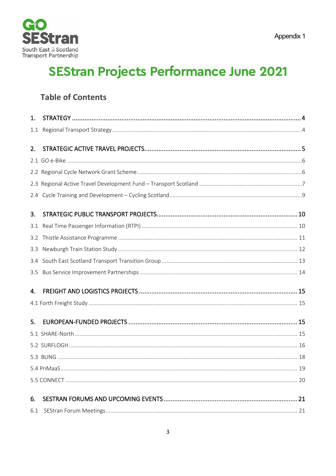

# **SEStran Projects Performance June 2021**

# **Table of Contents**

| 1.  |  |
|-----|--|
| 1.1 |  |
| 2.  |  |
|     |  |
|     |  |
|     |  |
|     |  |
| 2.4 |  |
| 3.  |  |
| 3.1 |  |
| 3.2 |  |
| 3.3 |  |
| 3.4 |  |
| 3.5 |  |
| 4.  |  |
|     |  |
|     |  |
| 5.  |  |
|     |  |
|     |  |
|     |  |
|     |  |
|     |  |
|     |  |
| 6.  |  |
| 6.1 |  |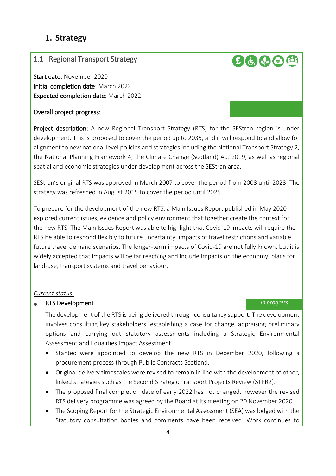# <span id="page-3-0"></span>**1. Strategy**

## <span id="page-3-1"></span>1.1 Regional Transport Strategy

Start date: November 2020 Initial completion date: March 2022 Expected completion date: March 2022

### Overall project progress:

Project description: A new Regional Transport Strategy (RTS) for the SEStran region is under development. This is proposed to cover the period up to 2035, and it will respond to and allow for alignment to new national level policies and strategies including the National Transport Strategy 2, the National Planning Framework 4, the Climate Change (Scotland) Act 2019, as well as regional spatial and economic strategies under development across the SEStran area.

SEStran's original RTS was approved in March 2007 to cover the period from 2008 until 2023. The strategy was refreshed in August 2015 to cover the period until 2025.

To prepare for the development of the new RTS, a Main Issues Report published in May 2020 explored current issues, evidence and policy environment that together create the context for the new RTS. The Main Issues Report was able to highlight that Covid-19 impacts will require the RTS be able to respond flexibly to future uncertainty, impacts of travel restrictions and variable future travel demand scenarios. The longer-term impacts of Covid-19 are not fully known, but it is widely accepted that impacts will be far reaching and include impacts on the economy, plans for land-use, transport systems and travel behaviour.

### *Current status:*

### • RTS Development *In progress*

 The development of the RTS is being delivered through consultancy support. The development involves consulting key stakeholders, establishing a case for change, appraising preliminary options and carrying out statutory assessments including a Strategic Environmental Assessment and Equalities Impact Assessment.

- Stantec were appointed to develop the new RTS in December 2020, following a procurement process through Public Contracts Scotland.
- Original delivery timescales were revised to remain in line with the development of other, linked strategies such as the Second Strategic Transport Projects Review (STPR2).
- The proposed final completion date of early 2022 has not changed, however the revised RTS delivery programme was agreed by the Board at its meeting on 20 November 2020.
- The Scoping Report for the Strategic Environmental Assessment (SEA) was lodged with the Statutory consultation bodies and comments have been received. Work continues to

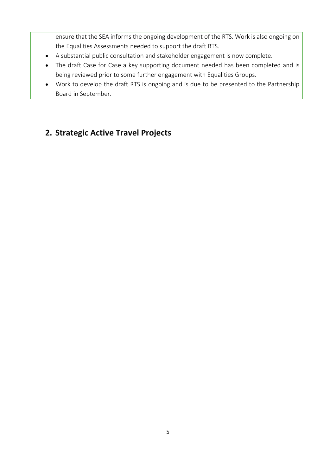ensure that the SEA informs the ongoing development of the RTS. Work is also ongoing on the Equalities Assessments needed to support the draft RTS.

- A substantial public consultation and stakeholder engagement is now complete.
- The draft Case for Case a key supporting document needed has been completed and is being reviewed prior to some further engagement with Equalities Groups.
- Work to develop the draft RTS is ongoing and is due to be presented to the Partnership Board in September.

# <span id="page-4-0"></span>**2. Strategic Active Travel Projects**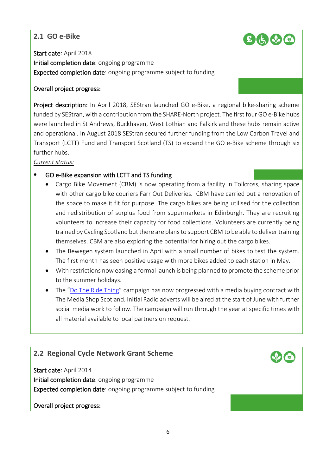# <span id="page-5-0"></span>**2.1 GO e-Bike**



Start date: April 2018 Initial completion date: ongoing programme Expected completion date: ongoing programme subject to funding

## Overall project progress:

Project description: In April 2018, SEStran launched GO e-Bike, a regional bike-sharing scheme funded by SEStran, with a contribution from the SHARE-North project. The first four GO e-Bike hubs were launched in St Andrews, Buckhaven, West Lothian and Falkirk and these hubs remain active and operational. In August 2018 SEStran secured further funding from the Low Carbon Travel and Transport (LCTT) Fund and Transport Scotland (TS) to expand the GO e-Bike scheme through six further hubs.

*Current status:*

# • GO e-Bike expansion with LCTT and TS funding

- Cargo Bike Movement (CBM) is now operating from a facility in Tollcross, sharing space with other cargo bike couriers Farr Out Deliveries. CBM have carried out a renovation of the space to make it fit for purpose. The cargo bikes are being utilised for the collection and redistribution of surplus food from supermarkets in Edinburgh. They are recruiting volunteers to increase their capacity for food collections. Volunteers are currently being trained by Cycling Scotland but there are plans to support CBM to be able to deliver training themselves. CBM are also exploring the potential for hiring out the cargo bikes.
- The Bewegen system launched in April with a small number of bikes to test the system. The first month has seen positive usage with more bikes added to each station in May.
- With restrictions now easing a formal launch is being planned to promote the scheme prior to the summer holidays.
- The ["Do The Ride Thing"](https://www.dotheridething.co.uk/) campaign has now progressed with a media buying contract with The Media Shop Scotland. Initial Radio adverts will be aired at the start of June with further social media work to follow. The campaign will run through the year at specific times with all material available to local partners on request.

# <span id="page-5-1"></span>**2.2 Regional Cycle Network Grant Scheme**

Start date: April 2014 Initial completion date: ongoing programme Expected completion date: ongoing programme subject to funding

## Overall project progress: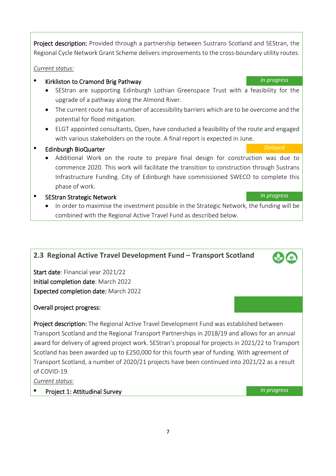Project description: Provided through a partnership between Sustrans Scotland and SEStran, the Regional Cycle Network Grant Scheme delivers improvements to the cross-boundary utility routes.

## *Current status:*

- Kirkliston to Cramond Brig Pathway *In progress*
	- SEStran are supporting Edinburgh Lothian Greenspace Trust with a feasibility for the upgrade of a pathway along the Almond River.
	- The current route has a number of accessibility barriers which are to be overcome and the potential for flood mitigation.
	- ELGT appointed consultants, Open, have conducted a feasibility of the route and engaged with various stakeholders on the route. A final report is expected in June.
- Edinburgh BioQuarter *Delayed*
	- Additional Work on the route to prepare final design for construction was due to commence 2020. This work will facilitate the transition to construction through Sustrans Infrastructure Funding. City of Edinburgh have commissioned SWECO to complete this phase of work.

# • SEStran Strategic Network *In progress*

• In order to maximise the investment possible in the Strategic Network, the funding will be combined with the Regional Active Travel Fund as described below.

# <span id="page-6-0"></span>**2.3 Regional Active Travel Development Fund – Transport Scotland**

Start date: Financial year 2021/22 Initial completion date: March 2022 Expected completion date: March 2022

# Overall project progress:

Project description: The Regional Active Travel Development Fund was established between Transport Scotland and the Regional Transport Partnerships in 2018/19 and allows for an annual award for delivery of agreed project work. SEStran's proposal for projects in 2021/22 to Transport Scotland has been awarded up to £250,000 for this fourth year of funding. With agreement of Transport Scotland, a number of 2020/21 projects have been continued into 2021/22 as a result of COVID-19.

*Current status:*

• Project 1: Attitudinal Survey *In progress*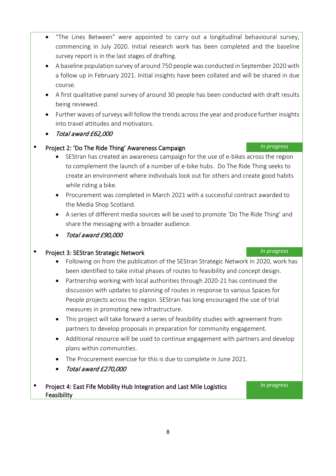- "The Lines Between" were appointed to carry out a longitudinal behavioural survey, commencing in July 2020. Initial research work has been completed and the baseline survey report is in the last stages of drafting.
- A baseline population survey of around 750 people was conducted in September 2020 with a follow up in February 2021. Initial insights have been collated and will be shared in due course.
- A first qualitative panel survey of around 30 people has been conducted with draft results being reviewed.
- Further waves of surveys will follow the trends across the year and produce further insights into travel attitudes and motivators.
- Total award £62,000
- Project 2: 'Do The Ride Thing' Awareness Campaign *In progress*
	- SEStran has created an awareness campaign for the use of e-bikes across the region to complement the launch of a number of e-bike hubs. Do The Ride Thing seeks to create an environment where individuals look out for others and create good habits while riding a bike.
	- Procurement was completed in March 2021 with a successful contract awarded to the Media Shop Scotland.
	- A series of different media sources will be used to promote 'Do The Ride Thing' and share the messaging with a broader audience.
	- Total award £90,000

# • Project 3: SEStran Strategic Network *In progress*

- Following on from the publication of the SEStran Strategic Network in 2020, work has been identified to take initial phases of routes to feasibility and concept design.
- Partnership working with local authorities through 2020-21 has continued the discussion with updates to planning of routes in response to various Spaces for People projects across the region. SEStran has long encouraged the use of trial measures in promoting new infrastructure.
- This project will take forward a series of feasibility studies with agreement from partners to develop proposals in preparation for community engagement.
- Additional resource will be used to continue engagement with partners and develop plans within communities.
- The Procurement exercise for this is due to complete in June 2021.
- Total award £270,000
- Project 4: East Fife Mobility Hub Integration and Last Mile Logistics Feasibility

### 8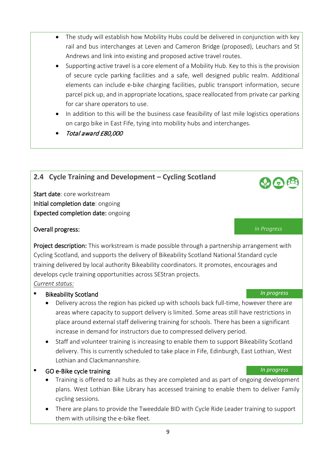- The study will establish how Mobility Hubs could be delivered in conjunction with key rail and bus interchanges at Leven and Cameron Bridge (proposed), Leuchars and St Andrews and link into existing and proposed active travel routes.
- Supporting active travel is a core element of a Mobility Hub. Key to this is the provision of secure cycle parking facilities and a safe, well designed public realm. Additional elements can include e-bike charging facilities, public transport information, secure parcel pick up, and in appropriate locations, space reallocated from private car parking for car share operators to use.
- In addition to this will be the business case feasibility of last mile logistics operations on cargo bike in East Fife, tying into mobility hubs and interchanges.
- Total award £80,000

# <span id="page-8-0"></span>**2.4 Cycle Training and Development – Cycling Scotland**

Start date: core workstream Initial completion date: ongoing Expected completion date: ongoing

## Overall progress: *In Progress*

Project description: This workstream is made possible through a partnership arrangement with Cycling Scotland, and supports the delivery of Bikeability Scotland National Standard cycle training delivered by local authority Bikeability coordinators. It promotes, encourages and develops cycle training opportunities across SEStran projects.

## *Current status:*

# • Bikeability Scotland *In progress*

- Delivery across the region has picked up with schools back full-time, however there are areas where capacity to support delivery is limited. Some areas still have restrictions in place around external staff delivering training for schools. There has been a significant increase in demand for instructors due to compressed delivery period.
- Staff and volunteer training is increasing to enable them to support Bikeability Scotland delivery. This is currently scheduled to take place in Fife, Edinburgh, East Lothian, West Lothian and Clackmannanshire.
- GO e-Bike cycle training *In progress*
	- Training is offered to all hubs as they are completed and as part of ongoing development plans. West Lothian Bike Library has accessed training to enable them to deliver Family cycling sessions.
	- There are plans to provide the Tweeddale BID with Cycle Ride Leader training to support them with utilising the e-bike fleet.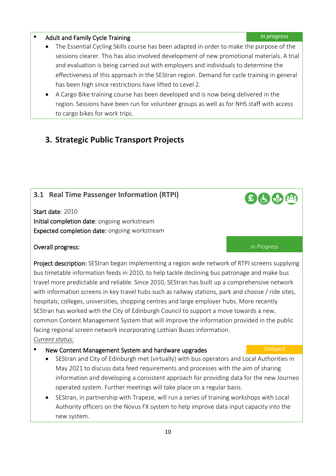# • Adult and Family Cycle Training *In progress*

- The Essential Cycling Skills course has been adapted in order to make the purpose of the sessions clearer. This has also involved development of new promotional materials. A trial and evaluation is being carried out with employers and individuals to determine the effectiveness of this approach in the SEStran region. Demand for cycle training in general has been high since restrictions have lifted to Level 2.
- A Cargo Bike training course has been developed and is now being delivered in the region. Sessions have been run for volunteer groups as well as for NHS staff with access to cargo bikes for work trips.

# <span id="page-9-0"></span>**3. Strategic Public Transport Projects**

# <span id="page-9-1"></span>**3.1 Real Time Passenger Information (RTPI)**

Start date: 2010 Initial completion date: ongoing workstream Expected completion date: ongoing workstream

# Overall progress: *In Progress*

Project description: SEStran began implementing a region wide network of RTPI screens supplying bus timetable information feeds in 2010, to help tackle declining bus patronage and make bus travel more predictable and reliable. Since 2010, SEStran has built up a comprehensive network with information screens in key travel hubs such as railway stations, park and choose / ride sites, hospitals, colleges, universities, shopping centres and large employer hubs. More recently SEStran has worked with the City of Edinburgh Council to support a move towards a new, common Content Management System that will improve the information provided in the public facing regional screen network incorporating Lothian Buses information. *Current status:*

# • New Content Management System and hardware upgrades *Delayed*

- SEStran and City of Edinburgh met (virtually) with bus operators and Local Authorities in May 2021 to discuss data feed requirements and processes with the aim of sharing information and developing a consistent approach for providing data for the new Journeo operated system. Further meetings will take place on a regular basis.
- SEStran, in partnership with Trapeze, will run a series of training workshops with Local Authority officers on the Novus FX system to help improve data input capacity into the new system.

田山山田

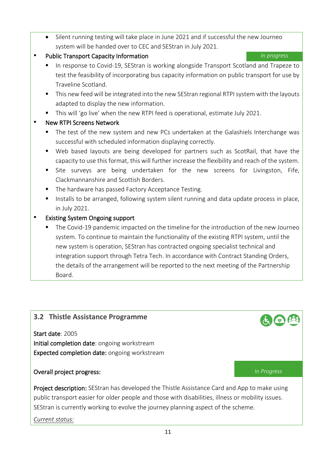Silent running testing will take place in June 2021 and if successful the new Journeo system will be handed over to CEC and SEStran in July 2021.

# **Public Transport Capacity Information Intervalse Section** *In progress*

- In response to Covid-19, SEStran is working alongside Transport Scotland and Trapeze to test the feasibility of incorporating bus capacity information on public transport for use by Traveline Scotland.
- This new feed will be integrated into the new SEStran regional RTPI system with the layouts adapted to display the new information.
- This will 'go live' when the new RTPI feed is operational, estimate July 2021.

# **New RTPI Screens Network**

- The test of the new system and new PCs undertaken at the Galashiels Interchange was successful with scheduled information displaying correctly.
- Web based layouts are being developed for partners such as ScotRail, that have the capacity to use this format, this will further increase the flexibility and reach of the system.
- Site surveys are being undertaken for the new screens for Livingston, Fife, Clackmannanshire and Scottish Borders.
- The hardware has passed Factory Acceptance Testing.
- Installs to be arranged, following system silent running and data update process in place, in July 2021.

# Existing System Ongoing support

**The Covid-19 pandemic impacted on the timeline for the introduction of the new Journeo** system. To continue to maintain the functionality of the existing RTPI system, until the new system is operation, SEStran has contracted ongoing specialist technical and integration support through Tetra Tech. In accordance with Contract Standing Orders, the details of the arrangement will be reported to the next meeting of the Partnership Board.

# <span id="page-10-0"></span>**3.2 Thistle Assistance Programme**

Start date: 2005 Initial completion date: ongoing workstream Expected completion date: ongoing workstream

# Overall project progress: *In Progress*

Project description: SEStran has developed the Thistle Assistance Card and App to make using public transport easier for older people and those with disabilities, illness or mobility issues. SEStran is currently working to evolve the journey planning aspect of the scheme.

*Current status:*

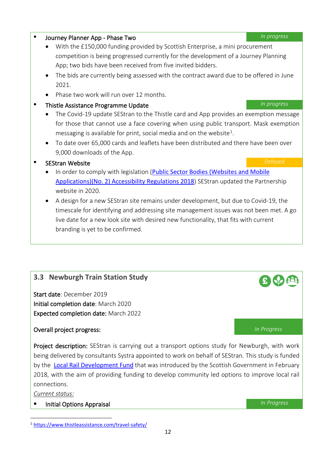# • The bids are currently being assessed with the contract award due to be offered in June 2021. • Phase two work will run over 12 months. • Thistle Assistance Programme Update *In progress*

App; two bids have been received from five invited bidders.

• With the £150,000 funding provided by Scottish Enterprise, a mini procurement

competition is being progressed currently for the development of a Journey Planning

- The Covid-19 update SEStran to the Thistle card and App provides an exemption message for those that cannot use a face covering when using public transport. Mask exemption messaging is available for print, social media and on the website<sup>1</sup>.
- To date over 65,000 cards and leaflets have been distributed and there have been over 9,000 downloads of the App.

# • SEStran Website *Delayed*

- In order to comply with legislation (Public Sector Bodies (Websites and Mobile [Applications\)\(No. 2\) Accessibility Regulations 2018](https://www.legislation.gov.uk/uksi/2018/952/contents/made)) SEStran updated the Partnership website in 2020.
- A design for a new SEStran site remains under development, but due to Covid-19, the timescale for identifying and addressing site management issues was not been met. A go live date for a new look site with desired new functionality, that fits with current branding is yet to be confirmed.

# <span id="page-11-0"></span>**3.3 Newburgh Train Station Study**

Start date: December 2019 Initial completion date: March 2020 Expected completion date: March 2022

# Overall project progress: *In Progress*

Project description: SEStran is carrying out a transport options study for Newburgh, with work being delivered by consultants Systra appointed to work on behalf of SEStran. This study is funded by the [Local Rail Development Fund](https://www.transport.gov.scot/public-transport/rail/rail-policy-and-strategy/local-rail-development-fund/) that was introduced by the Scottish Government in February 2018, with the aim of providing funding to develop community led options to improve local rail connections.

*Current status:*

• Initial Options Appraisal *In Progress*

<span id="page-11-1"></span><sup>1</sup> <https://www.thistleassistance.com/travel-safety/>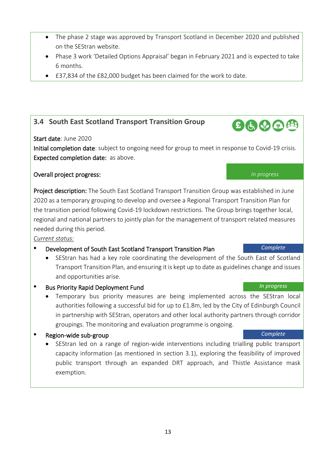- The phase 2 stage was approved by Transport Scotland in December 2020 and published on the SEStran website.
- Phase 3 work 'Detailed Options Appraisal' began in February 2021 and is expected to take 6 months.
- £37,834 of the £82,000 budget has been claimed for the work to date.

# <span id="page-12-0"></span>**3.4 South East Scotland Transport Transition Group**

## Start date: June 2020

Initial completion date: subject to ongoing need for group to meet in response to Covid-19 crisis. Expected completion date: as above.

## Overall project progress: *In progress*

Project description: The South East Scotland Transport Transition Group was established in June 2020 as a temporary grouping to develop and oversee a Regional Transport Transition Plan for the transition period following Covid-19 lockdown restrictions. The Group brings together local, regional and national partners to jointly plan for the management of transport related measures needed during this period.

### *Current status:*

## • Development of South East Scotland Transport Transition Plan *Complete*

• SEStran has had a key role coordinating the development of the South East of Scotland Transport Transition Plan, and ensuring it is kept up to date as guidelines change and issues and opportunities arise.

## • Bus Priority Rapid Deployment Fund *In progress*

• Temporary bus priority measures are being implemented across the SEStran local authorities following a successful bid for up to £1.8m, led by the City of Edinburgh Council in partnership with SEStran, operators and other local authority partners through corridor groupings. The monitoring and evaluation programme is ongoing.

# • Region-wide sub-group *Complete*

• SEStran led on a range of region-wide interventions including trialling public transport capacity information (as mentioned in section 3.1), exploring the feasibility of improved public transport through an expanded DRT approach, and Thistle Assistance mask exemption.

# 田由明田田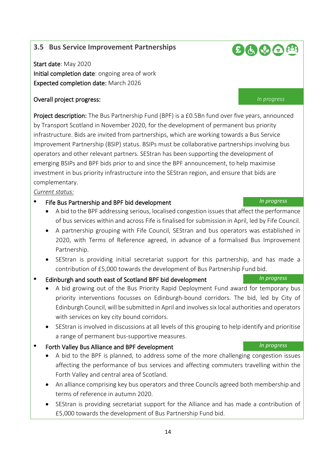# <span id="page-13-0"></span>**3.5 Bus Service Improvement Partnerships**

Start date: May 2020 Initial completion date: ongoing area of work Expected completion date: March 2026

## Overall project progress: *In progress*

Project description: The Bus Partnership Fund (BPF) is a £0.5Bn fund over five years, announced by Transport Scotland in November 2020, for the development of permanent bus priority infrastructure. Bids are invited from partnerships, which are working towards a Bus Service Improvement Partnership (BSIP) status. BSIPs must be collaborative partnerships involving bus operators and other relevant partners. SEStran has been supporting the development of emerging BSIPs and BPF bids prior to and since the BPF announcement, to help maximise investment in bus priority infrastructure into the SEStran region, and ensure that bids are complementary.

*Current status:*

- Fife Bus Partnership and BPF bid development *In progress*
	- A bid to the BPF addressing serious, localised congestion issues that affect the performance of bus services within and across Fife is finalised for submission in April, led by Fife Council.
	- A partnership grouping with Fife Council, SEStran and bus operators was established in 2020, with Terms of Reference agreed, in advance of a formalised Bus Improvement Partnership.
	- SEStran is providing initial secretariat support for this partnership, and has made a contribution of £5,000 towards the development of Bus Partnership Fund bid.
- Edinburgh and south east of Scotland BPF bid development *In progress*
	- A bid growing out of the Bus Priority Rapid Deployment Fund award for temporary bus priority interventions focusses on Edinburgh-bound corridors. The bid, led by City of Edinburgh Council, will be submitted in April and involves six local authorities and operators with services on key city bound corridors.
	- SEStran is involved in discussions at all levels of this grouping to help identify and prioritise a range of permanent bus-supportive measures.
- Forth Valley Bus Alliance and BPF development *In progress*
	- A bid to the BPF is planned, to address some of the more challenging congestion issues affecting the performance of bus services and affecting commuters travelling within the Forth Valley and central area of Scotland.
	- An alliance comprising key bus operators and three Councils agreed both membership and terms of reference in autumn 2020.
	- SEStran is providing secretariat support for the Alliance and has made a contribution of £5,000 towards the development of Bus Partnership Fund bid.

# $B$  $B$  $D$  $B$  $B$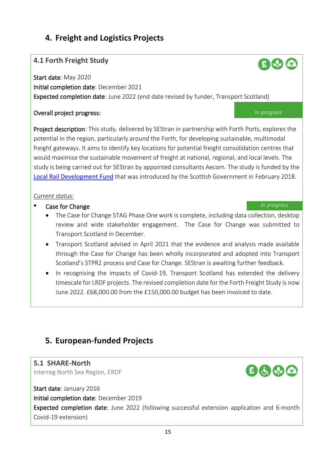# <span id="page-14-0"></span>**4. Freight and Logistics Projects**

# <span id="page-14-1"></span>**4.1 Forth Freight Study**

Start date: May 2020 Initial completion date: December 2021 Expected completion date: June 2022 (end date revised by funder, Transport Scotland)

## Overall project progress: *In progress*

Project description: This study, delivered by SEStran in partnership with Forth Ports, explores the potential in the region, particularly around the Forth, for developing sustainable, multimodal freight gateways. It aims to identify key locations for potential freight consolidation centres that would maximise the sustainable movement of freight at national, regional, and local levels. The study is being carried out for SEStran by appointed consultants Aecom. The study is funded by the [Local Rail Development Fund](https://www.transport.gov.scot/public-transport/rail/rail-policy-and-strategy/local-rail-development-fund/) that was introduced by the Scottish Government in February 2018.

## *Current status:*

## **Case for Change** *In progress*

- The Case for Change STAG Phase One work is complete, including data collection, desktop review and wide stakeholder engagement. The Case for Change was submitted to Transport Scotland in December.
- Transport Scotland advised in April 2021 that the evidence and analysis made available through the Case for Change has been wholly incorporated and adopted into Transport Scotland's STPR2 process and Case for Change. SEStran is awaiting further feedback.
- In recognising the impacts of Covid-19, Transport Scotland has extended the delivery timescale for LRDF projects. The revised completion date for the Forth Freight Study is now June 2022. £68,000.00 from the £150,000.00 budget has been invoiced to date.

# <span id="page-14-2"></span>**5. European-funded Projects**

# <span id="page-14-3"></span>**5.1 SHARE-North**

Interreg North Sea Region, ERDF

Start date: January 2016 Initial completion date: December 2019 Expected completion date: June 2022 (following successful extension application and 6-month Covid-19 extension)



 $E$   $\psi$   $\phi$ 



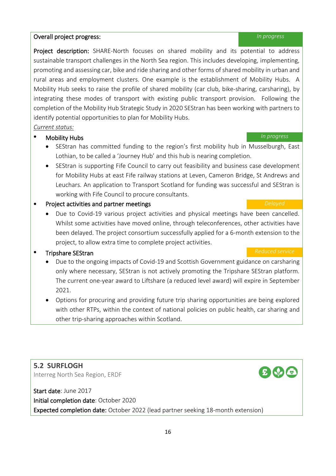### completion of the Mobility Hub Strategic Study in 2020 SEStran has been working with partners to

identify potential opportunities to plan for Mobility Hubs.

### *Current status:*

### • Mobility Hubs *In progress*

• SEStran has committed funding to the region's first mobility hub in Musselburgh, East Lothian, to be called a 'Journey Hub' and this hub is nearing completion.

Project description: SHARE-North focuses on shared mobility and its potential to address sustainable transport challenges in the North Sea region. This includes developing, implementing, promoting and assessing car, bike and ride sharing and other forms of shared mobility in urban and rural areas and employment clusters. One example is the establishment of Mobility Hubs. A Mobility Hub seeks to raise the profile of shared mobility (car club, bike-sharing, carsharing), by integrating these modes of transport with existing public transport provision. Following the

• SEStran is supporting Fife Council to carry out feasibility and business case development for Mobility Hubs at east Fife railway stations at Leven, Cameron Bridge, St Andrews and Leuchars. An application to Transport Scotland for funding was successful and SEStran is working with Fife Council to procure consultants.

### **Project activities and partner meetings Delayed Delayed Delayed**

• Due to Covid-19 various project activities and physical meetings have been cancelled. Whilst some activities have moved online, through teleconferences, other activities have been delayed. The project consortium successfully applied for a 6-month extension to the project, to allow extra time to complete project activities.

# • Tripshare SEStran *Reduced service* **Reduced service Reduced service Reduced service**

- Due to the ongoing impacts of Covid-19 and Scottish Government guidance on carsharing only where necessary, SEStran is not actively promoting the Tripshare SEStran platform. The current one-year award to Liftshare (a reduced level award) will expire in September 2021.
- Options for procuring and providing future trip sharing opportunities are being explored with other RTPs, within the context of national policies on public health, car sharing and other trip-sharing approaches within Scotland.

<span id="page-15-0"></span>**5.2 SURFLOGH**  Interreg North Sea Region, ERDF

Start date: June 2017 Initial completion date: October 2020 Expected completion date: October 2022 (lead partner seeking 18-month extension)

### Overall project progress: *In progress*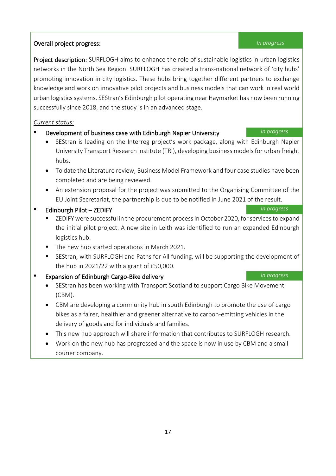# Overall project progress: *In progress*

Project description: SURFLOGH aims to enhance the role of sustainable logistics in urban logistics networks in the North Sea Region. SURFLOGH has created a trans-national network of 'city hubs' promoting innovation in city logistics. These hubs bring together different partners to exchange knowledge and work on innovative pilot projects and business models that can work in real world urban logistics systems. SEStran's Edinburgh pilot operating near Haymarket has now been running successfully since 2018, and the study is in an advanced stage.

## *Current status:*

- Development of business case with Edinburgh Napier University *In progress*
	- SEStran is leading on the Interreg project's work package, along with Edinburgh Napier University Transport Research Institute (TRI), developing business models for urban freight hubs.
	- To date the Literature review, Business Model Framework and four case studies have been completed and are being reviewed.
	- An extension proposal for the project was submitted to the Organising Committee of the EU Joint Secretariat, the partnership is due to be notified in June 2021 of the result.
- Edinburgh Pilot ZEDIFY *In progress*
	- ZEDIFY were successful in the procurement processin October 2020, for services to expand the initial pilot project. A new site in Leith was identified to run an expanded Edinburgh logistics hub.
	- The new hub started operations in March 2021.
	- SEStran, with SURFLOGH and Paths for All funding, will be supporting the development of the hub in 2021/22 with a grant of £50,000.

# • Expansion of Edinburgh Cargo-Bike delivery *In progress*

- SEStran has been working with Transport Scotland to support Cargo Bike Movement (CBM).
- CBM are developing a community hub in south Edinburgh to promote the use of cargo bikes as a fairer, healthier and greener alternative to carbon-emitting vehicles in the delivery of goods and for individuals and families.
- This new hub approach will share information that contributes to SURFLOGH research.
- Work on the new hub has progressed and the space is now in use by CBM and a small courier company.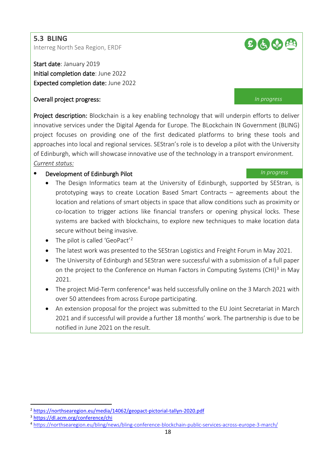### <span id="page-17-0"></span>**5.3 BLING**

Interreg North Sea Region, ERDF

Start date: January 2019 Initial completion date: June 2022 Expected completion date: June 2022

### Overall project progress: *In progress*

Project description: Blockchain is a key enabling technology that will underpin efforts to deliver innovative services under the Digital Agenda for Europe. The BLockchain IN Government (BLING) project focuses on providing one of the first dedicated platforms to bring these tools and approaches into local and regional services. SEStran's role is to develop a pilot with the University of Edinburgh, which will showcase innovative use of the technology in a transport environment. *Current status:*

# • Development of Edinburgh Pilot *In progress*

- The Design Informatics team at the University of Edinburgh, supported by SEStran, is prototyping ways to create Location Based Smart Contracts – agreements about the location and relations of smart objects in space that allow conditions such as proximity or co-location to trigger actions like financial transfers or opening physical locks. These systems are backed with blockchains, to explore new techniques to make location data secure without being invasive.
- The pilot is called 'GeoPact'<sup>2</sup>
- The latest work was presented to the SEStran Logistics and Freight Forum in May 2021.
- The University of Edinburgh and SEStran were successful with a submission of a full paper on the project to the Conference on Human Factors in Computing Systems (CHI)<sup>[3](#page-17-2)</sup> in May 2021.
- The project Mid-Term conference<sup>[4](#page-17-3)</sup> was held successfully online on the 3 March 2021 with over 50 attendees from across Europe participating.
- An extension proposal for the project was submitted to the EU Joint Secretariat in March 2021 and if successful will provide a further 18 months' work. The partnership is due to be notified in June 2021 on the result.



<span id="page-17-1"></span><sup>2</sup> <https://northsearegion.eu/media/14062/geopact-pictorial-tallyn-2020.pdf>

<span id="page-17-2"></span><sup>3</sup> <https://dl.acm.org/conference/chi>

<span id="page-17-3"></span><sup>4</sup> <https://northsearegion.eu/bling/news/bling-conference-blockchain-public-services-across-europe-3-march/>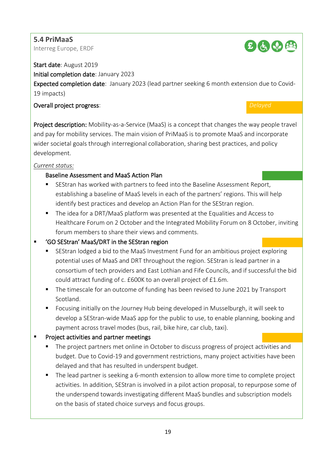# <span id="page-18-0"></span>**5.4 PriMaaS**

Interreg Europe, ERDF



Start date: August 2019

Initial completion date: January 2023

Expected completion date: January 2023 (lead partner seeking 6 month extension due to Covid-19 impacts)

# Overall project progress: *Delayed*

Project description: Mobility-as-a-Service (MaaS) is a concept that changes the way people travel and pay for mobility services. The main vision of PriMaaS is to promote MaaS and incorporate wider societal goals through interregional collaboration, sharing best practices, and policy development.

# *Current status:*

# Baseline Assessment and MaaS Action Plan

- SEStran has worked with partners to feed into the Baseline Assessment Report, establishing a baseline of MaaS levels in each of the partners' regions. This will help identify best practices and develop an Action Plan for the SEStran region.
- The idea for a DRT/MaaS platform was presented at the Equalities and Access to Healthcare Forum on 2 October and the Integrated Mobility Forum on 8 October, inviting forum members to share their views and comments.

# 'GO SEStran' MaaS/DRT in the SEStran region

- SEStran lodged a bid to the MaaS Investment Fund for an ambitious project exploring potential uses of MaaS and DRT throughout the region. SEStran is lead partner in a consortium of tech providers and East Lothian and Fife Councils, and if successful the bid could attract funding of c. £600K to an overall project of £1.6m.
- The timescale for an outcome of funding has been revised to June 2021 by Transport Scotland.
- Focusing initially on the Journey Hub being developed in Musselburgh, it will seek to develop a SEStran-wide MaaS app for the public to use, to enable planning, booking and payment across travel modes (bus, rail, bike hire, car club, taxi).

# Project activities and partner meetings

- The project partners met online in October to discuss progress of project activities and budget. Due to Covid-19 and government restrictions, many project activities have been delayed and that has resulted in underspent budget.
- The lead partner is seeking a 6-month extension to allow more time to complete project activities. In addition, SEStran is involved in a pilot action proposal, to repurpose some of the underspend towards investigating different MaaS bundles and subscription models on the basis of stated choice surveys and focus groups.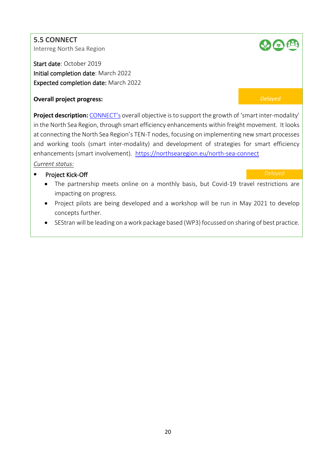<span id="page-19-0"></span>**5.5 CONNECT**  Interreg North Sea Region

Start date: October 2019 Initial completion date: March 2022 Expected completion date: March 2022

## **Overall project progress:** *Delayed*

**Project description:** [CONNECT's](https://northsearegion.eu/north-sea-connect) overall objective is to support the growth of 'smart inter-modality' in the North Sea Region, through smart efficiency enhancements within freight movement. It looks at connecting the North Sea Region's TEN-T nodes, focusing on implementing new smart processes and working tools (smart inter-modality) and development of strategies for smart efficiency enhancements (smart involvement). <https://northsearegion.eu/north-sea-connect>

## *Current status:*

# • Project Kick-Off *Delayed*

- The partnership meets online on a monthly basis, but Covid-19 travel restrictions are impacting on progress.
- Project pilots are being developed and a workshop will be run in May 2021 to develop concepts further.
- SEStran will be leading on a work package based (WP3) focussed on sharing of best practice.

# **SO CO**